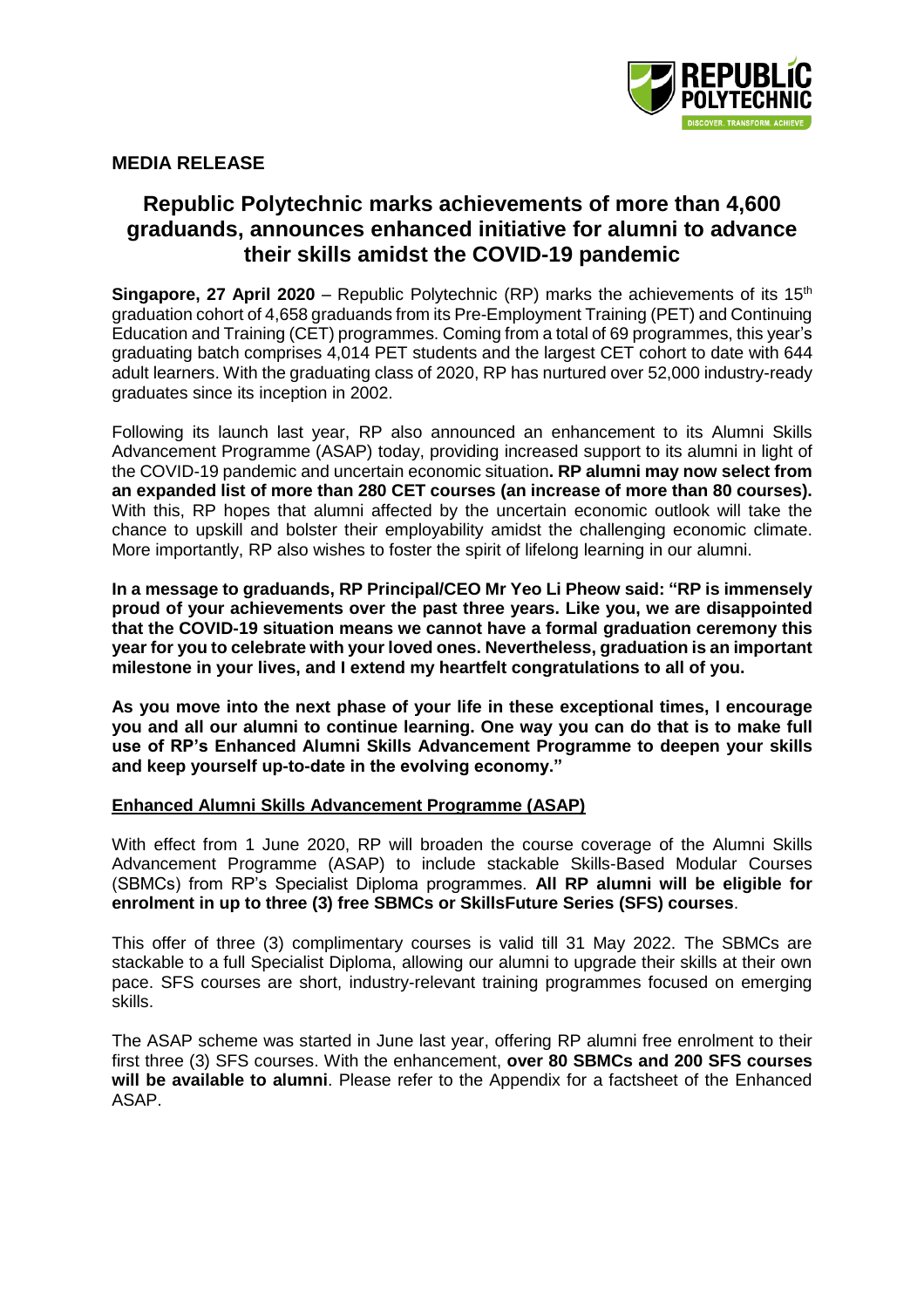

## **MEDIA RELEASE**

## **Republic Polytechnic marks achievements of more than 4,600 graduands, announces enhanced initiative for alumni to advance their skills amidst the COVID-19 pandemic**

**Singapore, 27 April 2020** – Republic Polytechnic (RP) marks the achievements of its 15<sup>th</sup> graduation cohort of 4,658 graduands from its Pre-Employment Training (PET) and Continuing Education and Training (CET) programmes. Coming from a total of 69 programmes, this year's graduating batch comprises 4,014 PET students and the largest CET cohort to date with 644 adult learners. With the graduating class of 2020, RP has nurtured over 52,000 industry-ready graduates since its inception in 2002.

Following its launch last year, RP also announced an enhancement to its Alumni Skills Advancement Programme (ASAP) today, providing increased support to its alumni in light of the COVID-19 pandemic and uncertain economic situation**. RP alumni may now select from an expanded list of more than 280 CET courses (an increase of more than 80 courses).** With this, RP hopes that alumni affected by the uncertain economic outlook will take the chance to upskill and bolster their employability amidst the challenging economic climate. More importantly, RP also wishes to foster the spirit of lifelong learning in our alumni.

**In a message to graduands, RP Principal/CEO Mr Yeo Li Pheow said: "RP is immensely proud of your achievements over the past three years. Like you, we are disappointed that the COVID-19 situation means we cannot have a formal graduation ceremony this year for you to celebrate with your loved ones. Nevertheless, graduation is an important milestone in your lives, and I extend my heartfelt congratulations to all of you.**

**As you move into the next phase of your life in these exceptional times, I encourage you and all our alumni to continue learning. One way you can do that is to make full use of RP's Enhanced Alumni Skills Advancement Programme to deepen your skills and keep yourself up-to-date in the evolving economy."** 

#### **Enhanced Alumni Skills Advancement Programme (ASAP)**

With effect from 1 June 2020, RP will broaden the course coverage of the Alumni Skills Advancement Programme (ASAP) to include stackable Skills-Based Modular Courses (SBMCs) from RP's Specialist Diploma programmes. **All RP alumni will be eligible for enrolment in up to three (3) free SBMCs or SkillsFuture Series (SFS) courses**.

This offer of three (3) complimentary courses is valid till 31 May 2022. The SBMCs are stackable to a full Specialist Diploma, allowing our alumni to upgrade their skills at their own pace. SFS courses are short, industry-relevant training programmes focused on emerging skills.

The ASAP scheme was started in June last year, offering RP alumni free enrolment to their first three (3) SFS courses. With the enhancement, **over 80 SBMCs and 200 SFS courses will be available to alumni**. Please refer to the Appendix for a factsheet of the Enhanced ASAP.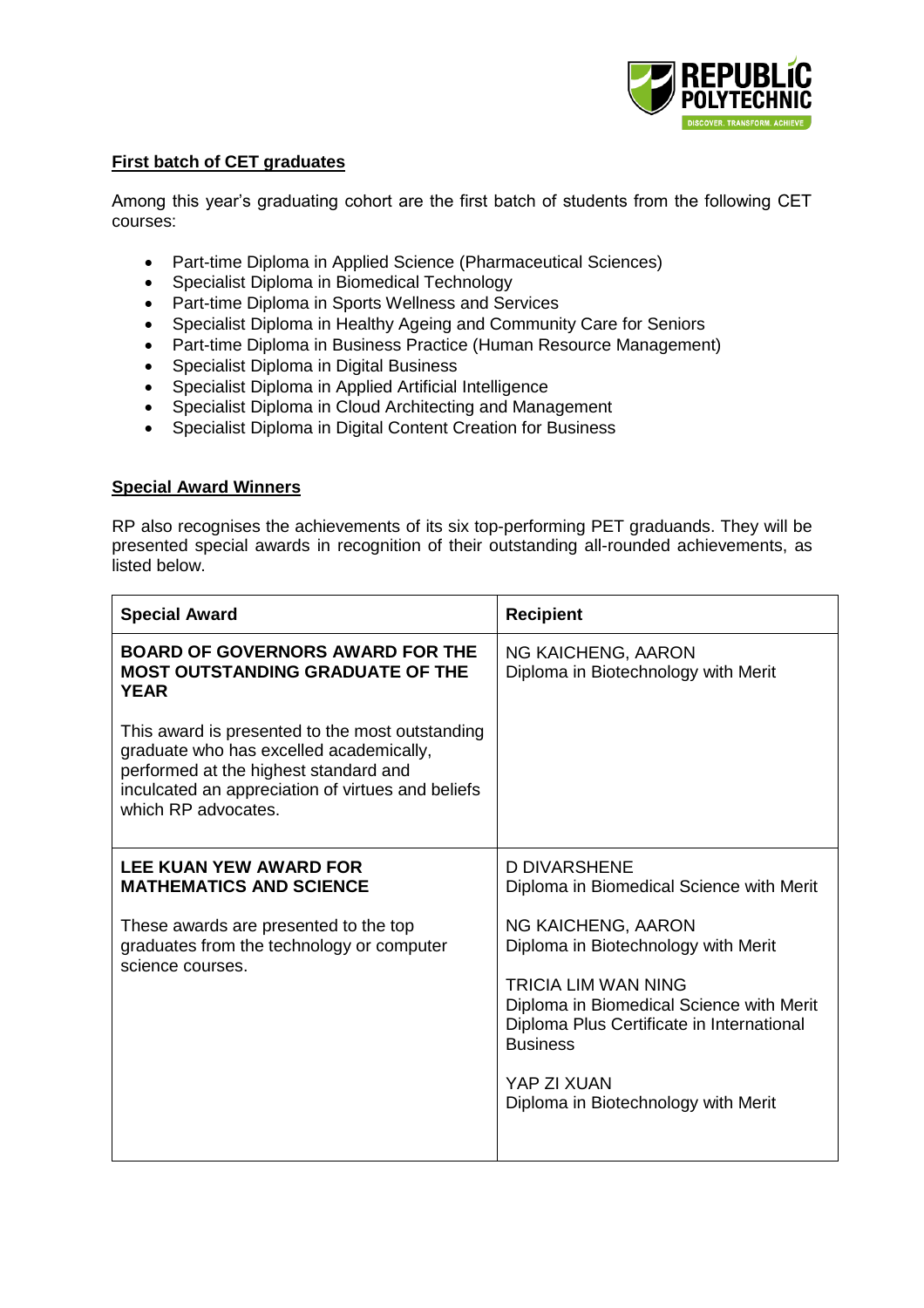

## **First batch of CET graduates**

Among this year's graduating cohort are the first batch of students from the following CET courses:

- Part-time Diploma in Applied Science (Pharmaceutical Sciences)
- Specialist Diploma in Biomedical Technology
- Part-time Diploma in Sports Wellness and Services
- Specialist Diploma in Healthy Ageing and Community Care for Seniors
- Part-time Diploma in Business Practice (Human Resource Management)
- Specialist Diploma in Digital Business
- Specialist Diploma in Applied Artificial Intelligence
- Specialist Diploma in Cloud Architecting and Management
- Specialist Diploma in Digital Content Creation for Business

#### **Special Award Winners**

RP also recognises the achievements of its six top-performing PET graduands. They will be presented special awards in recognition of their outstanding all-rounded achievements, as listed below.

| <b>Special Award</b>                                                                                                                                                                                            | <b>Recipient</b>                                                                                                                                                                                                                                   |
|-----------------------------------------------------------------------------------------------------------------------------------------------------------------------------------------------------------------|----------------------------------------------------------------------------------------------------------------------------------------------------------------------------------------------------------------------------------------------------|
| <b>BOARD OF GOVERNORS AWARD FOR THE</b><br><b>MOST OUTSTANDING GRADUATE OF THE</b><br><b>YEAR</b>                                                                                                               | <b>NG KAICHENG, AARON</b><br>Diploma in Biotechnology with Merit                                                                                                                                                                                   |
| This award is presented to the most outstanding<br>graduate who has excelled academically,<br>performed at the highest standard and<br>inculcated an appreciation of virtues and beliefs<br>which RP advocates. |                                                                                                                                                                                                                                                    |
| <b>LEE KUAN YEW AWARD FOR</b><br><b>MATHEMATICS AND SCIENCE</b>                                                                                                                                                 | D DIVARSHENE<br>Diploma in Biomedical Science with Merit                                                                                                                                                                                           |
| These awards are presented to the top<br>graduates from the technology or computer<br>science courses.                                                                                                          | NG KAICHENG, AARON<br>Diploma in Biotechnology with Merit<br>TRICIA LIM WAN NING<br>Diploma in Biomedical Science with Merit<br>Diploma Plus Certificate in International<br><b>Business</b><br>YAP ZI XUAN<br>Diploma in Biotechnology with Merit |
|                                                                                                                                                                                                                 |                                                                                                                                                                                                                                                    |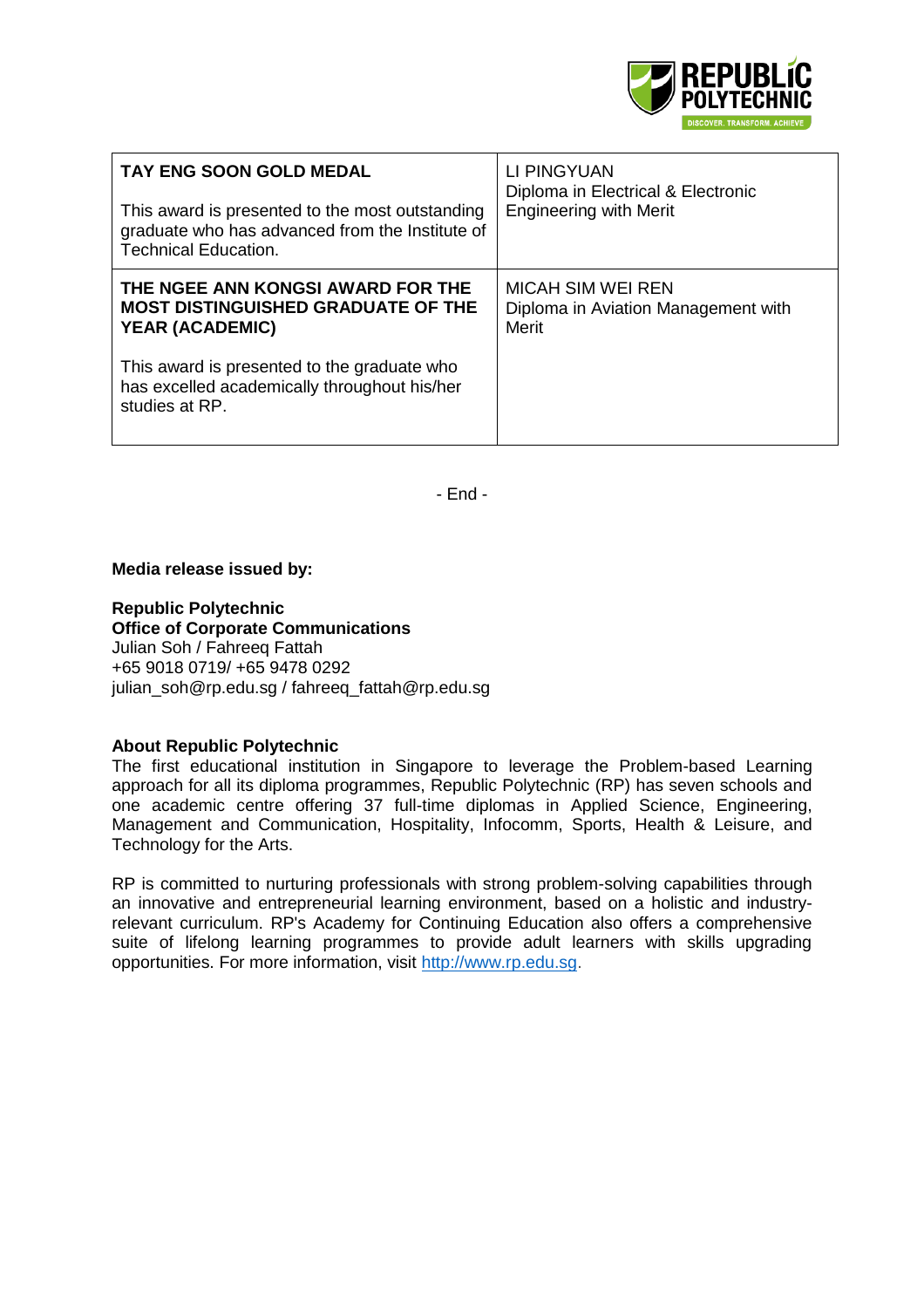

| <b>TAY ENG SOON GOLD MEDAL</b><br>This award is presented to the most outstanding<br>graduate who has advanced from the Institute of<br><b>Technical Education.</b> | LI PINGYUAN<br>Diploma in Electrical & Electronic<br><b>Engineering with Merit</b> |
|---------------------------------------------------------------------------------------------------------------------------------------------------------------------|------------------------------------------------------------------------------------|
| THE NGEE ANN KONGSI AWARD FOR THE<br><b>MOST DISTINGUISHED GRADUATE OF THE</b><br><b>YEAR (ACADEMIC)</b>                                                            | MICAH SIM WEI REN<br>Diploma in Aviation Management with<br>Merit                  |
| This award is presented to the graduate who<br>has excelled academically throughout his/her<br>studies at RP.                                                       |                                                                                    |

- End -

#### **Media release issued by:**

**Republic Polytechnic**

**Office of Corporate Communications**  Julian Soh / Fahreeq Fattah +65 9018 0719/ +65 9478 0292 julian\_soh@rp.edu.sg / [fahreeq\\_fattah@rp.edu.sg](mailto:fahreeq_fattah@rp.edu.sg)

#### **About Republic Polytechnic**

The first educational institution in Singapore to leverage the Problem-based Learning approach for all its diploma programmes, Republic Polytechnic (RP) has seven schools and one academic centre offering 37 full-time diplomas in Applied Science, Engineering, Management and Communication, Hospitality, Infocomm, Sports, Health & Leisure, and Technology for the Arts.

RP is committed to nurturing professionals with strong problem-solving capabilities through an innovative and entrepreneurial learning environment, based on a holistic and industryrelevant curriculum. RP's Academy for Continuing Education also offers a comprehensive suite of lifelong learning programmes to provide adult learners with skills upgrading opportunities. For more information, visit [http://www.rp.edu.sg.](http://www.rp.edu.sg/)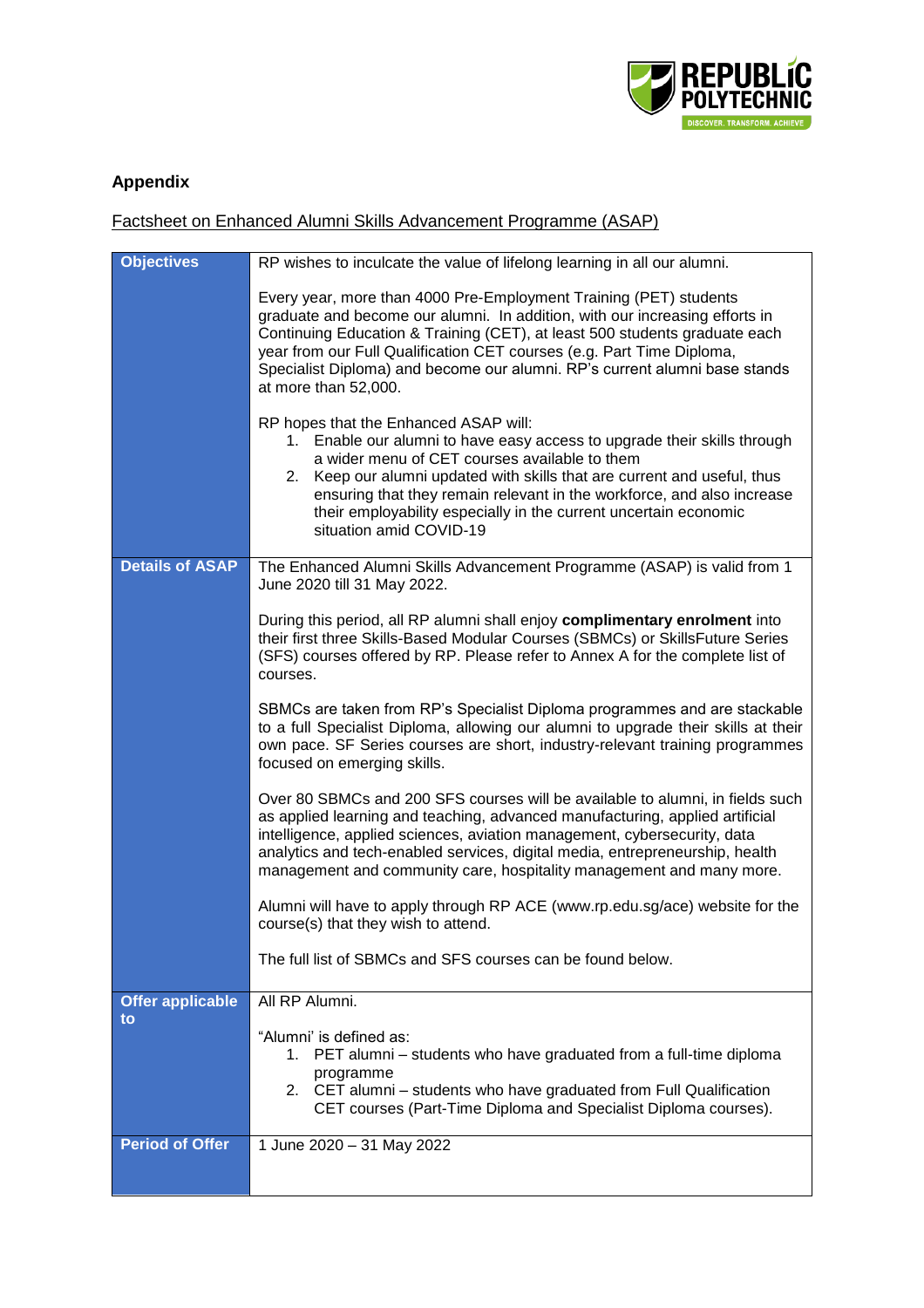

# **Appendix**

Factsheet on Enhanced Alumni Skills Advancement Programme (ASAP)

| <b>Objectives</b>       | RP wishes to inculcate the value of lifelong learning in all our alumni.                                                                                                                                                                                                                                                                                                                                                |
|-------------------------|-------------------------------------------------------------------------------------------------------------------------------------------------------------------------------------------------------------------------------------------------------------------------------------------------------------------------------------------------------------------------------------------------------------------------|
|                         | Every year, more than 4000 Pre-Employment Training (PET) students<br>graduate and become our alumni. In addition, with our increasing efforts in<br>Continuing Education & Training (CET), at least 500 students graduate each<br>year from our Full Qualification CET courses (e.g. Part Time Diploma,<br>Specialist Diploma) and become our alumni. RP's current alumni base stands<br>at more than 52,000.           |
|                         | RP hopes that the Enhanced ASAP will:<br>1. Enable our alumni to have easy access to upgrade their skills through<br>a wider menu of CET courses available to them<br>2. Keep our alumni updated with skills that are current and useful, thus<br>ensuring that they remain relevant in the workforce, and also increase<br>their employability especially in the current uncertain economic<br>situation amid COVID-19 |
| <b>Details of ASAP</b>  | The Enhanced Alumni Skills Advancement Programme (ASAP) is valid from 1<br>June 2020 till 31 May 2022.                                                                                                                                                                                                                                                                                                                  |
|                         | During this period, all RP alumni shall enjoy complimentary enrolment into<br>their first three Skills-Based Modular Courses (SBMCs) or SkillsFuture Series<br>(SFS) courses offered by RP. Please refer to Annex A for the complete list of<br>courses.                                                                                                                                                                |
|                         | SBMCs are taken from RP's Specialist Diploma programmes and are stackable<br>to a full Specialist Diploma, allowing our alumni to upgrade their skills at their<br>own pace. SF Series courses are short, industry-relevant training programmes<br>focused on emerging skills.                                                                                                                                          |
|                         | Over 80 SBMCs and 200 SFS courses will be available to alumni, in fields such<br>as applied learning and teaching, advanced manufacturing, applied artificial<br>intelligence, applied sciences, aviation management, cybersecurity, data<br>analytics and tech-enabled services, digital media, entrepreneurship, health<br>management and community care, hospitality management and many more.                       |
|                         | Alumni will have to apply through RP ACE (www.rp.edu.sg/ace) website for the<br>course(s) that they wish to attend.                                                                                                                                                                                                                                                                                                     |
|                         | The full list of SBMCs and SFS courses can be found below.                                                                                                                                                                                                                                                                                                                                                              |
| <b>Offer applicable</b> | All RP Alumni.                                                                                                                                                                                                                                                                                                                                                                                                          |
| to                      | "Alumni' is defined as:<br>1. PET alumni – students who have graduated from a full-time diploma<br>programme<br>2. CET alumni - students who have graduated from Full Qualification<br>CET courses (Part-Time Diploma and Specialist Diploma courses).                                                                                                                                                                  |
| <b>Period of Offer</b>  | 1 June 2020 - 31 May 2022                                                                                                                                                                                                                                                                                                                                                                                               |
|                         |                                                                                                                                                                                                                                                                                                                                                                                                                         |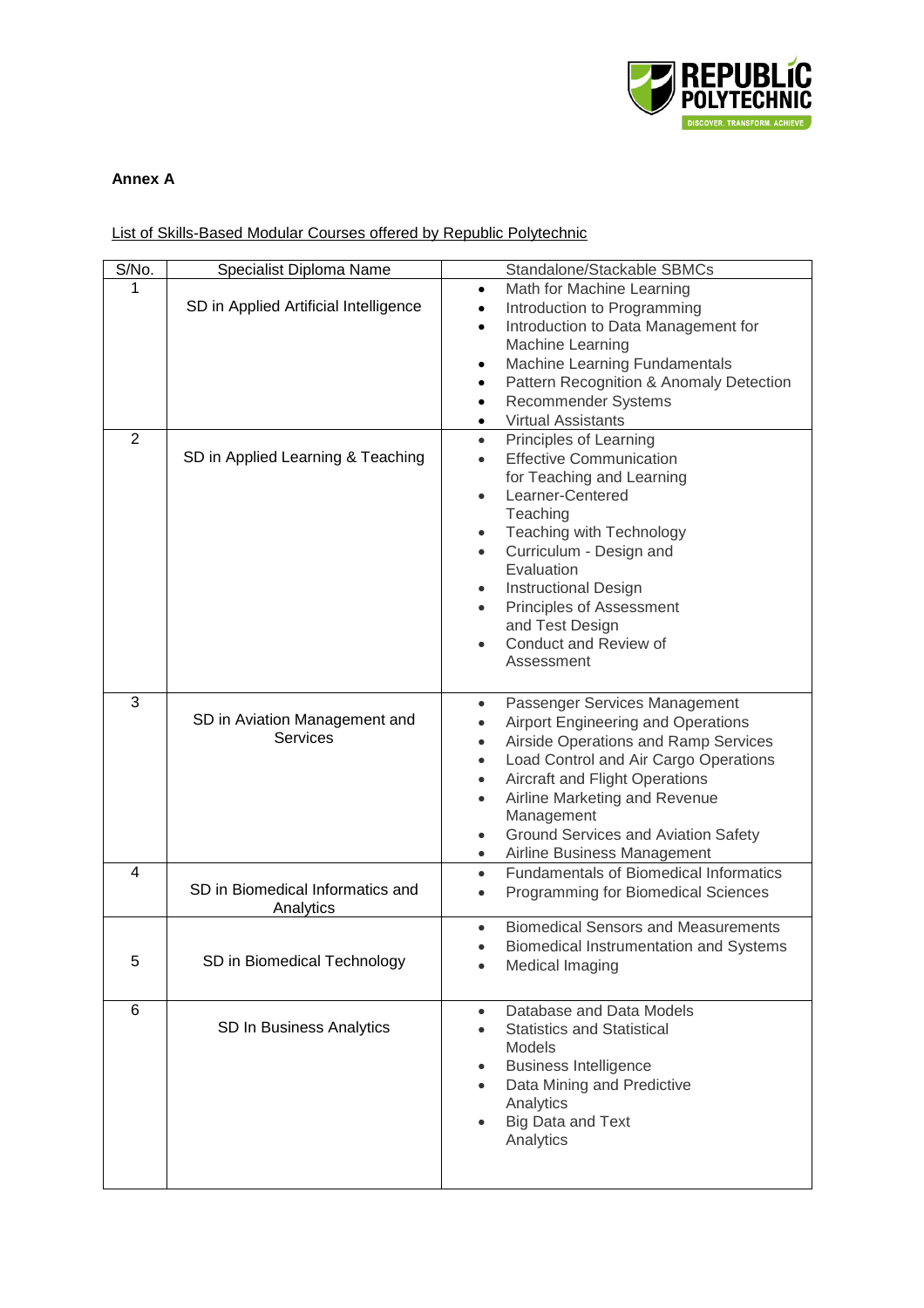

## **Annex A**

## List of Skills-Based Modular Courses offered by Republic Polytechnic

| S/No.          | Specialist Diploma Name                          | Standalone/Stackable SBMCs                                                                                                                                                                                                                                                                                                                                                                             |
|----------------|--------------------------------------------------|--------------------------------------------------------------------------------------------------------------------------------------------------------------------------------------------------------------------------------------------------------------------------------------------------------------------------------------------------------------------------------------------------------|
| 1              | SD in Applied Artificial Intelligence            | Math for Machine Learning<br>$\bullet$<br>Introduction to Programming<br>$\bullet$<br>Introduction to Data Management for<br>Machine Learning<br>Machine Learning Fundamentals<br>$\bullet$<br>Pattern Recognition & Anomaly Detection<br>$\bullet$<br>Recommender Systems<br>$\bullet$<br><b>Virtual Assistants</b>                                                                                   |
| $\overline{2}$ | SD in Applied Learning & Teaching                | Principles of Learning<br>$\bullet$<br><b>Effective Communication</b><br>for Teaching and Learning<br>Learner-Centered<br>Teaching<br>Teaching with Technology<br>$\bullet$<br>Curriculum - Design and<br>$\bullet$<br>Evaluation<br><b>Instructional Design</b><br>Principles of Assessment<br>and Test Design<br>Conduct and Review of<br>Assessment                                                 |
| 3              | SD in Aviation Management and<br><b>Services</b> | Passenger Services Management<br>$\bullet$<br>Airport Engineering and Operations<br>$\bullet$<br>Airside Operations and Ramp Services<br>$\bullet$<br>Load Control and Air Cargo Operations<br>$\bullet$<br>Aircraft and Flight Operations<br>$\bullet$<br>Airline Marketing and Revenue<br>Management<br>Ground Services and Aviation Safety<br>$\bullet$<br>Airline Business Management<br>$\bullet$ |
| 4              | SD in Biomedical Informatics and<br>Analytics    | <b>Fundamentals of Biomedical Informatics</b><br>$\bullet$<br>Programming for Biomedical Sciences<br>$\bullet$                                                                                                                                                                                                                                                                                         |
| 5              | SD in Biomedical Technology                      | <b>Biomedical Sensors and Measurements</b><br><b>Biomedical Instrumentation and Systems</b><br>Medical Imaging                                                                                                                                                                                                                                                                                         |
| 6              | SD In Business Analytics                         | Database and Data Models<br>$\bullet$<br><b>Statistics and Statistical</b><br><b>Models</b><br><b>Business Intelligence</b><br>٠<br>Data Mining and Predictive<br>Analytics<br><b>Big Data and Text</b><br>Analytics                                                                                                                                                                                   |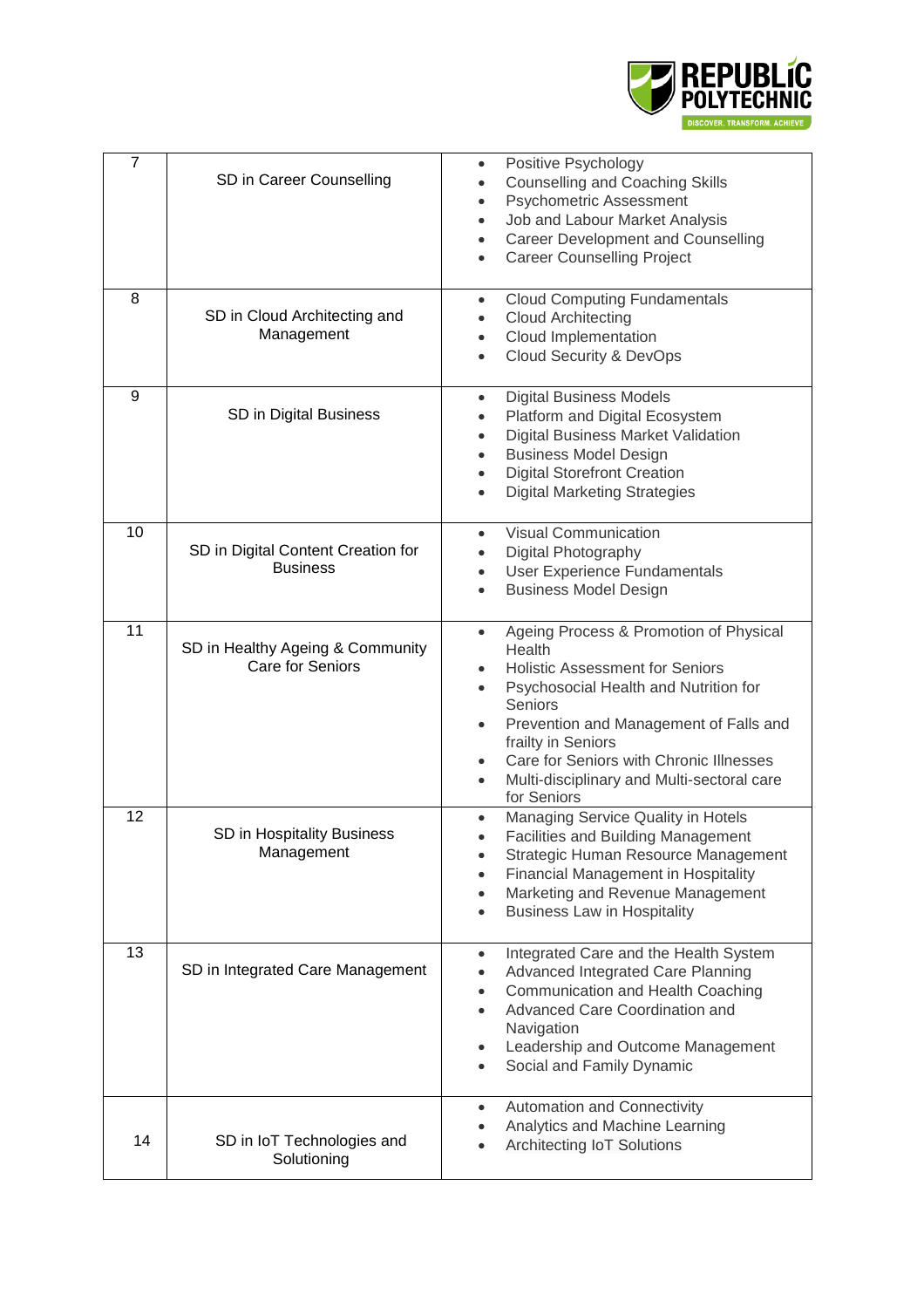

| $\overline{7}$ | SD in Career Counselling                              | Positive Psychology<br>$\bullet$<br><b>Counselling and Coaching Skills</b><br>$\bullet$<br><b>Psychometric Assessment</b><br>$\bullet$<br>Job and Labour Market Analysis<br>$\bullet$<br>Career Development and Counselling<br>$\bullet$<br><b>Career Counselling Project</b><br>$\bullet$                                                                                                           |
|----------------|-------------------------------------------------------|------------------------------------------------------------------------------------------------------------------------------------------------------------------------------------------------------------------------------------------------------------------------------------------------------------------------------------------------------------------------------------------------------|
| 8              | SD in Cloud Architecting and<br>Management            | <b>Cloud Computing Fundamentals</b><br>$\bullet$<br><b>Cloud Architecting</b><br>$\bullet$<br>Cloud Implementation<br>$\bullet$<br><b>Cloud Security &amp; DevOps</b><br>$\bullet$                                                                                                                                                                                                                   |
| 9              | SD in Digital Business                                | <b>Digital Business Models</b><br>$\bullet$<br>Platform and Digital Ecosystem<br>$\bullet$<br>Digital Business Market Validation<br>$\bullet$<br><b>Business Model Design</b><br>$\bullet$<br><b>Digital Storefront Creation</b><br>$\bullet$<br><b>Digital Marketing Strategies</b><br>$\bullet$                                                                                                    |
| 10             | SD in Digital Content Creation for<br><b>Business</b> | <b>Visual Communication</b><br>$\bullet$<br>Digital Photography<br>$\bullet$<br>User Experience Fundamentals<br>$\bullet$<br><b>Business Model Design</b><br>$\bullet$                                                                                                                                                                                                                               |
| 11             | SD in Healthy Ageing & Community<br>Care for Seniors  | Ageing Process & Promotion of Physical<br>$\bullet$<br>Health<br><b>Holistic Assessment for Seniors</b><br>$\bullet$<br>Psychosocial Health and Nutrition for<br>$\bullet$<br>Seniors<br>Prevention and Management of Falls and<br>$\bullet$<br>frailty in Seniors<br>Care for Seniors with Chronic Illnesses<br>$\bullet$<br>Multi-disciplinary and Multi-sectoral care<br>$\bullet$<br>for Seniors |
| 12             | SD in Hospitality Business<br>Management              | Managing Service Quality in Hotels<br>$\bullet$<br><b>Facilities and Building Management</b><br>$\bullet$<br>Strategic Human Resource Management<br><b>Financial Management in Hospitality</b><br>Marketing and Revenue Management<br>$\bullet$<br><b>Business Law in Hospitality</b><br>$\bullet$                                                                                                   |
| 13             | SD in Integrated Care Management                      | Integrated Care and the Health System<br>$\bullet$<br>Advanced Integrated Care Planning<br>$\bullet$<br>Communication and Health Coaching<br>Advanced Care Coordination and<br>Navigation<br>Leadership and Outcome Management<br>$\bullet$<br>Social and Family Dynamic<br>$\bullet$                                                                                                                |
| 14             | SD in IoT Technologies and<br>Solutioning             | <b>Automation and Connectivity</b><br>$\bullet$<br>Analytics and Machine Learning<br>$\bullet$<br>Architecting IoT Solutions                                                                                                                                                                                                                                                                         |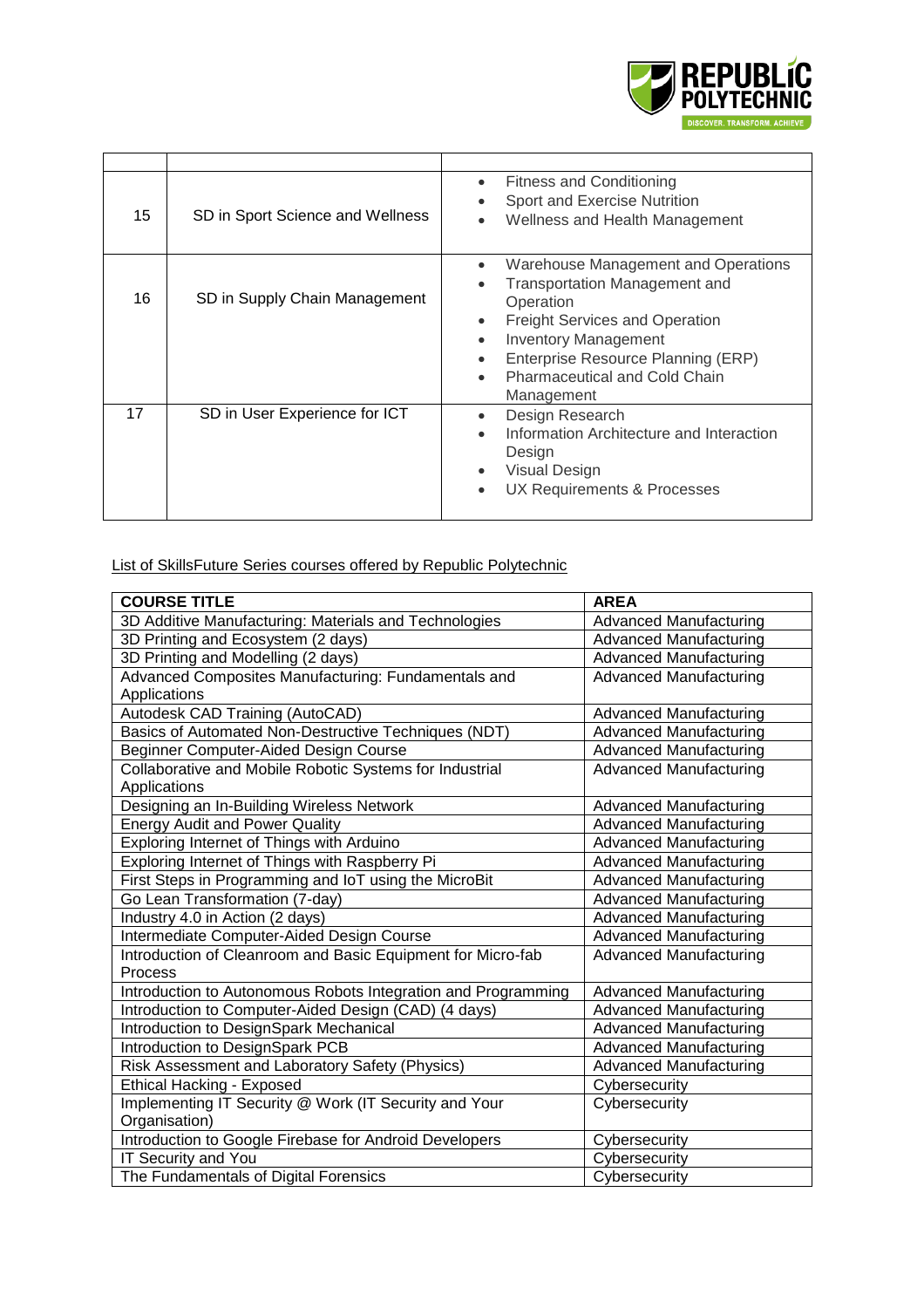

| 15 | SD in Sport Science and Wellness | <b>Fitness and Conditioning</b><br>$\bullet$<br>Sport and Exercise Nutrition<br>Wellness and Health Management                                                                                                                                                                                           |
|----|----------------------------------|----------------------------------------------------------------------------------------------------------------------------------------------------------------------------------------------------------------------------------------------------------------------------------------------------------|
| 16 | SD in Supply Chain Management    | Warehouse Management and Operations<br><b>Transportation Management and</b><br>٠<br>Operation<br><b>Freight Services and Operation</b><br><b>Inventory Management</b><br>$\bullet$<br>Enterprise Resource Planning (ERP)<br>$\bullet$<br><b>Pharmaceutical and Cold Chain</b><br>$\bullet$<br>Management |
| 17 | SD in User Experience for ICT    | Design Research<br>$\bullet$<br>Information Architecture and Interaction<br>$\bullet$<br>Design<br>Visual Design<br>UX Requirements & Processes                                                                                                                                                          |

List of SkillsFuture Series courses offered by Republic Polytechnic

| <b>COURSE TITLE</b>                                           | <b>AREA</b>                   |
|---------------------------------------------------------------|-------------------------------|
| 3D Additive Manufacturing: Materials and Technologies         | <b>Advanced Manufacturing</b> |
| 3D Printing and Ecosystem (2 days)                            | <b>Advanced Manufacturing</b> |
| 3D Printing and Modelling (2 days)                            | <b>Advanced Manufacturing</b> |
| Advanced Composites Manufacturing: Fundamentals and           | <b>Advanced Manufacturing</b> |
| Applications                                                  |                               |
| Autodesk CAD Training (AutoCAD)                               | <b>Advanced Manufacturing</b> |
| Basics of Automated Non-Destructive Techniques (NDT)          | <b>Advanced Manufacturing</b> |
| Beginner Computer-Aided Design Course                         | <b>Advanced Manufacturing</b> |
| Collaborative and Mobile Robotic Systems for Industrial       | <b>Advanced Manufacturing</b> |
| Applications                                                  |                               |
| Designing an In-Building Wireless Network                     | <b>Advanced Manufacturing</b> |
| <b>Energy Audit and Power Quality</b>                         | <b>Advanced Manufacturing</b> |
| Exploring Internet of Things with Arduino                     | <b>Advanced Manufacturing</b> |
| Exploring Internet of Things with Raspberry Pi                | <b>Advanced Manufacturing</b> |
| First Steps in Programming and IoT using the MicroBit         | <b>Advanced Manufacturing</b> |
| Go Lean Transformation (7-day)                                | <b>Advanced Manufacturing</b> |
| Industry 4.0 in Action (2 days)                               | <b>Advanced Manufacturing</b> |
| Intermediate Computer-Aided Design Course                     | <b>Advanced Manufacturing</b> |
| Introduction of Cleanroom and Basic Equipment for Micro-fab   | <b>Advanced Manufacturing</b> |
| Process                                                       |                               |
| Introduction to Autonomous Robots Integration and Programming | <b>Advanced Manufacturing</b> |
| Introduction to Computer-Aided Design (CAD) (4 days)          | <b>Advanced Manufacturing</b> |
| Introduction to DesignSpark Mechanical                        | <b>Advanced Manufacturing</b> |
| Introduction to DesignSpark PCB                               | <b>Advanced Manufacturing</b> |
| Risk Assessment and Laboratory Safety (Physics)               | <b>Advanced Manufacturing</b> |
| <b>Ethical Hacking - Exposed</b>                              | Cybersecurity                 |
| Implementing IT Security @ Work (IT Security and Your         | Cybersecurity                 |
| Organisation)                                                 |                               |
| Introduction to Google Firebase for Android Developers        | Cybersecurity                 |
| IT Security and You                                           | Cybersecurity                 |
| The Fundamentals of Digital Forensics                         | Cybersecurity                 |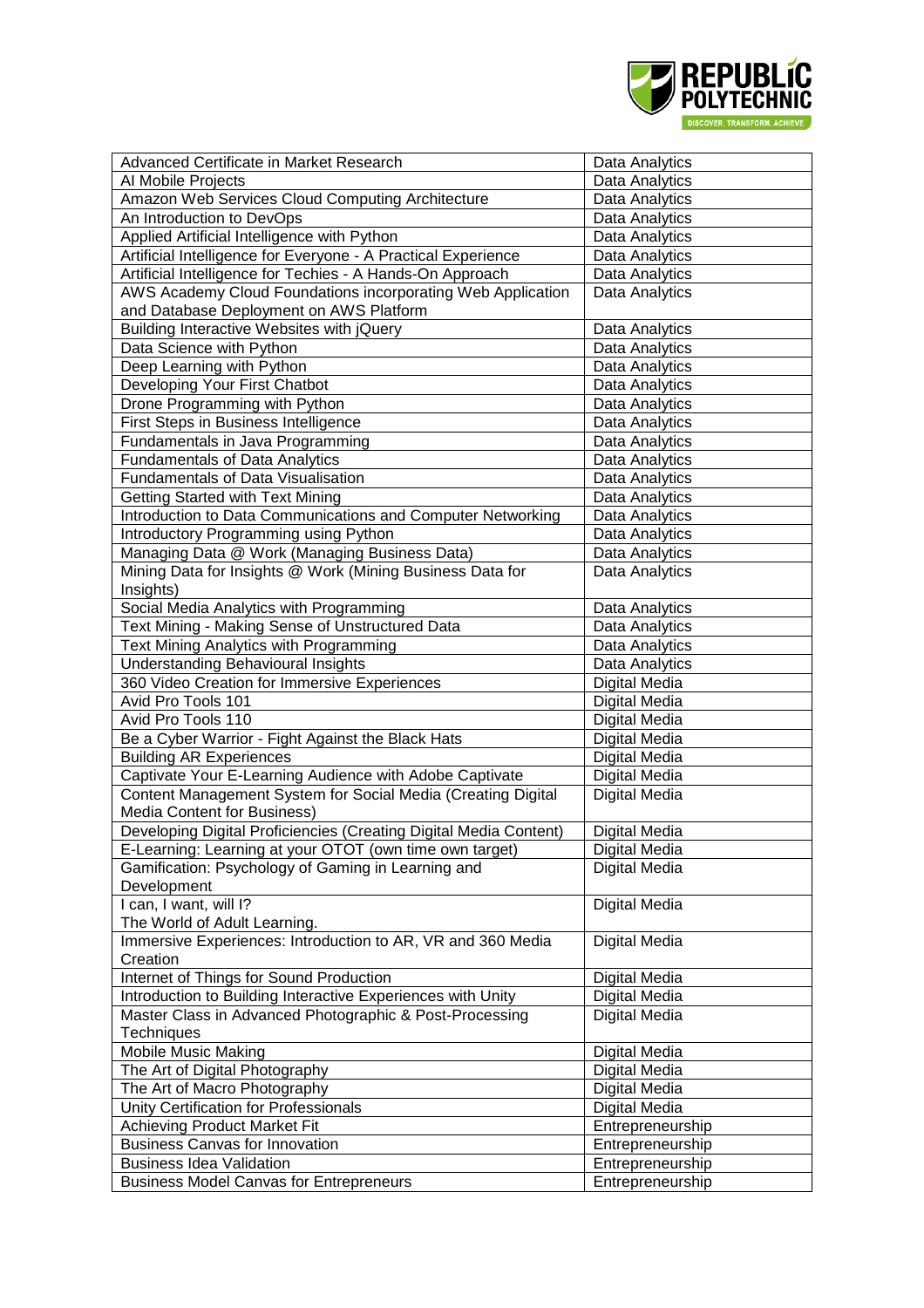

| Advanced Certificate in Market Research                           | Data Analytics   |
|-------------------------------------------------------------------|------------------|
| Al Mobile Projects                                                | Data Analytics   |
| Amazon Web Services Cloud Computing Architecture                  | Data Analytics   |
| An Introduction to DevOps                                         | Data Analytics   |
| Applied Artificial Intelligence with Python                       | Data Analytics   |
| Artificial Intelligence for Everyone - A Practical Experience     | Data Analytics   |
| Artificial Intelligence for Techies - A Hands-On Approach         | Data Analytics   |
| AWS Academy Cloud Foundations incorporating Web Application       | Data Analytics   |
| and Database Deployment on AWS Platform                           |                  |
| Building Interactive Websites with jQuery                         | Data Analytics   |
| Data Science with Python                                          | Data Analytics   |
| Deep Learning with Python                                         | Data Analytics   |
| Developing Your First Chatbot                                     | Data Analytics   |
| Drone Programming with Python                                     | Data Analytics   |
| First Steps in Business Intelligence                              | Data Analytics   |
| Fundamentals in Java Programming                                  | Data Analytics   |
| <b>Fundamentals of Data Analytics</b>                             | Data Analytics   |
| Fundamentals of Data Visualisation                                | Data Analytics   |
| <b>Getting Started with Text Mining</b>                           | Data Analytics   |
| Introduction to Data Communications and Computer Networking       | Data Analytics   |
| Introductory Programming using Python                             | Data Analytics   |
| Managing Data @ Work (Managing Business Data)                     | Data Analytics   |
| Mining Data for Insights @ Work (Mining Business Data for         | Data Analytics   |
| Insights)                                                         |                  |
| Social Media Analytics with Programming                           | Data Analytics   |
| Text Mining - Making Sense of Unstructured Data                   | Data Analytics   |
| Text Mining Analytics with Programming                            | Data Analytics   |
| <b>Understanding Behavioural Insights</b>                         | Data Analytics   |
| 360 Video Creation for Immersive Experiences                      | Digital Media    |
| Avid Pro Tools 101                                                | Digital Media    |
| Avid Pro Tools 110                                                | Digital Media    |
| Be a Cyber Warrior - Fight Against the Black Hats                 | Digital Media    |
| <b>Building AR Experiences</b>                                    | Digital Media    |
| Captivate Your E-Learning Audience with Adobe Captivate           | Digital Media    |
| Content Management System for Social Media (Creating Digital      | Digital Media    |
| Media Content for Business)                                       |                  |
| Developing Digital Proficiencies (Creating Digital Media Content) | Digital Media    |
| E-Learning: Learning at your OTOT (own time own target)           | Digital Media    |
| Gamification: Psychology of Gaming in Learning and                | Digital Media    |
| Development                                                       |                  |
| I can, I want, will I?                                            | Digital Media    |
| The World of Adult Learning.                                      |                  |
| Immersive Experiences: Introduction to AR, VR and 360 Media       | Digital Media    |
| Creation                                                          |                  |
| Internet of Things for Sound Production                           | Digital Media    |
| Introduction to Building Interactive Experiences with Unity       | Digital Media    |
| Master Class in Advanced Photographic & Post-Processing           | Digital Media    |
| Techniques                                                        |                  |
| <b>Mobile Music Making</b>                                        | Digital Media    |
| The Art of Digital Photography                                    | Digital Media    |
| The Art of Macro Photography                                      | Digital Media    |
| Unity Certification for Professionals                             | Digital Media    |
| <b>Achieving Product Market Fit</b>                               | Entrepreneurship |
| <b>Business Canvas for Innovation</b>                             | Entrepreneurship |
| <b>Business Idea Validation</b>                                   | Entrepreneurship |
| <b>Business Model Canvas for Entrepreneurs</b>                    | Entrepreneurship |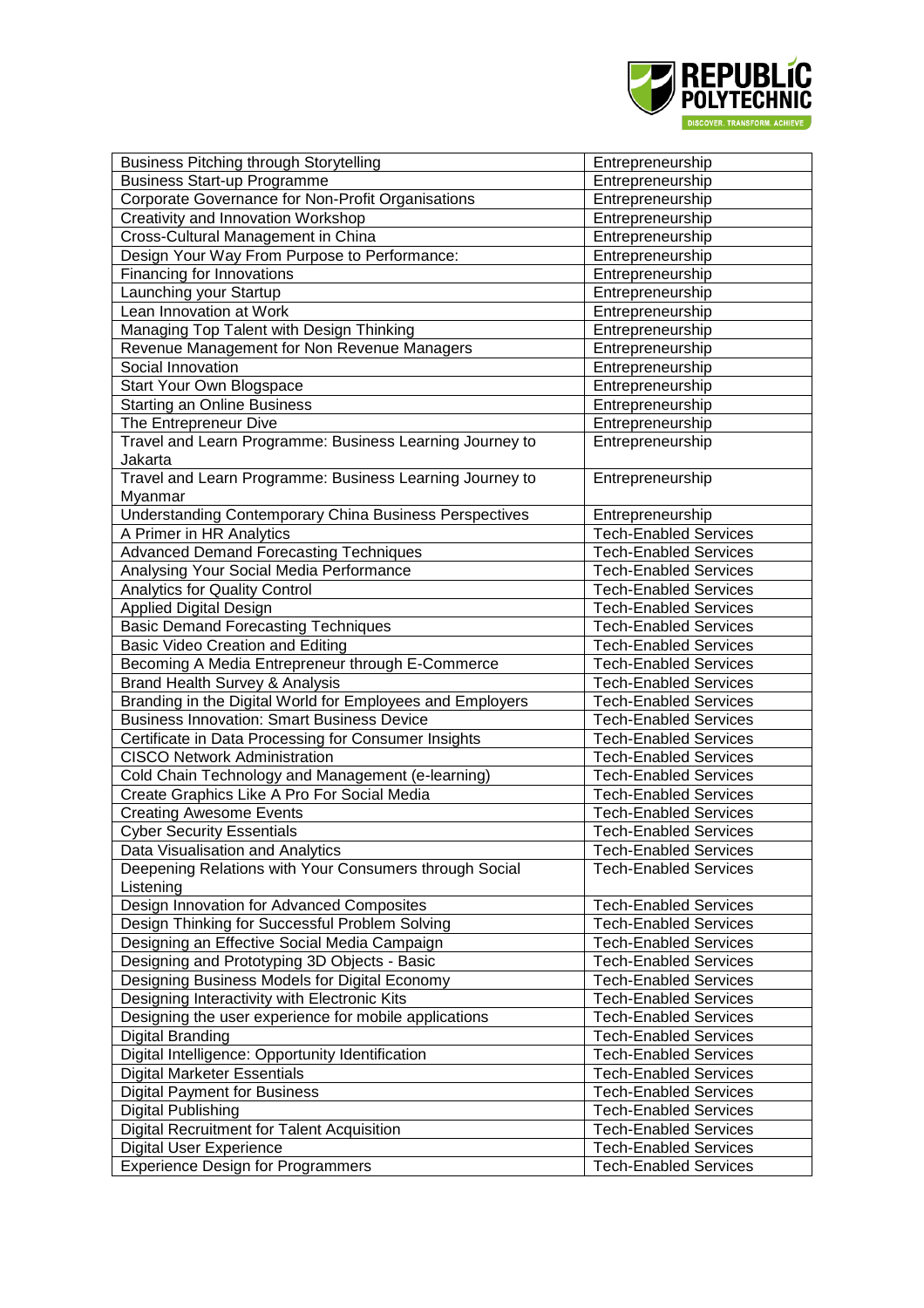

| <b>Business Pitching through Storytelling</b>                 | Entrepreneurship             |
|---------------------------------------------------------------|------------------------------|
| <b>Business Start-up Programme</b>                            | Entrepreneurship             |
| Corporate Governance for Non-Profit Organisations             | Entrepreneurship             |
| Creativity and Innovation Workshop                            | Entrepreneurship             |
| Cross-Cultural Management in China                            | Entrepreneurship             |
| Design Your Way From Purpose to Performance:                  | Entrepreneurship             |
| Financing for Innovations                                     | Entrepreneurship             |
| Launching your Startup                                        | Entrepreneurship             |
| Lean Innovation at Work                                       | Entrepreneurship             |
| Managing Top Talent with Design Thinking                      | Entrepreneurship             |
| Revenue Management for Non Revenue Managers                   | Entrepreneurship             |
| Social Innovation                                             | Entrepreneurship             |
| Start Your Own Blogspace                                      | Entrepreneurship             |
| <b>Starting an Online Business</b>                            | Entrepreneurship             |
| The Entrepreneur Dive                                         | Entrepreneurship             |
| Travel and Learn Programme: Business Learning Journey to      | Entrepreneurship             |
| Jakarta                                                       |                              |
| Travel and Learn Programme: Business Learning Journey to      | Entrepreneurship             |
| Myanmar                                                       |                              |
| <b>Understanding Contemporary China Business Perspectives</b> | Entrepreneurship             |
| A Primer in HR Analytics                                      | <b>Tech-Enabled Services</b> |
| Advanced Demand Forecasting Techniques                        | <b>Tech-Enabled Services</b> |
| Analysing Your Social Media Performance                       | <b>Tech-Enabled Services</b> |
| <b>Analytics for Quality Control</b>                          | <b>Tech-Enabled Services</b> |
| <b>Applied Digital Design</b>                                 | <b>Tech-Enabled Services</b> |
| <b>Basic Demand Forecasting Techniques</b>                    | <b>Tech-Enabled Services</b> |
| Basic Video Creation and Editing                              | <b>Tech-Enabled Services</b> |
| Becoming A Media Entrepreneur through E-Commerce              | <b>Tech-Enabled Services</b> |
| Brand Health Survey & Analysis                                | <b>Tech-Enabled Services</b> |
| Branding in the Digital World for Employees and Employers     | <b>Tech-Enabled Services</b> |
| <b>Business Innovation: Smart Business Device</b>             | <b>Tech-Enabled Services</b> |
| Certificate in Data Processing for Consumer Insights          | <b>Tech-Enabled Services</b> |
| <b>CISCO Network Administration</b>                           | <b>Tech-Enabled Services</b> |
| Cold Chain Technology and Management (e-learning)             | <b>Tech-Enabled Services</b> |
| Create Graphics Like A Pro For Social Media                   | <b>Tech-Enabled Services</b> |
| <b>Creating Awesome Events</b>                                | <b>Tech-Enabled Services</b> |
| <b>Cyber Security Essentials</b>                              | <b>Tech-Enabled Services</b> |
| Data Visualisation and Analytics                              | <b>Tech-Enabled Services</b> |
| Deepening Relations with Your Consumers through Social        | <b>Tech-Enabled Services</b> |
| Listening                                                     |                              |
| Design Innovation for Advanced Composites                     | <b>Tech-Enabled Services</b> |
| Design Thinking for Successful Problem Solving                | <b>Tech-Enabled Services</b> |
| Designing an Effective Social Media Campaign                  | <b>Tech-Enabled Services</b> |
| Designing and Prototyping 3D Objects - Basic                  | <b>Tech-Enabled Services</b> |
| Designing Business Models for Digital Economy                 | <b>Tech-Enabled Services</b> |
| Designing Interactivity with Electronic Kits                  | <b>Tech-Enabled Services</b> |
| Designing the user experience for mobile applications         | <b>Tech-Enabled Services</b> |
| Digital Branding                                              | <b>Tech-Enabled Services</b> |
| Digital Intelligence: Opportunity Identification              | <b>Tech-Enabled Services</b> |
| <b>Digital Marketer Essentials</b>                            | <b>Tech-Enabled Services</b> |
| <b>Digital Payment for Business</b>                           | <b>Tech-Enabled Services</b> |
| Digital Publishing                                            | <b>Tech-Enabled Services</b> |
| Digital Recruitment for Talent Acquisition                    | <b>Tech-Enabled Services</b> |
| <b>Digital User Experience</b>                                | <b>Tech-Enabled Services</b> |
| <b>Experience Design for Programmers</b>                      | <b>Tech-Enabled Services</b> |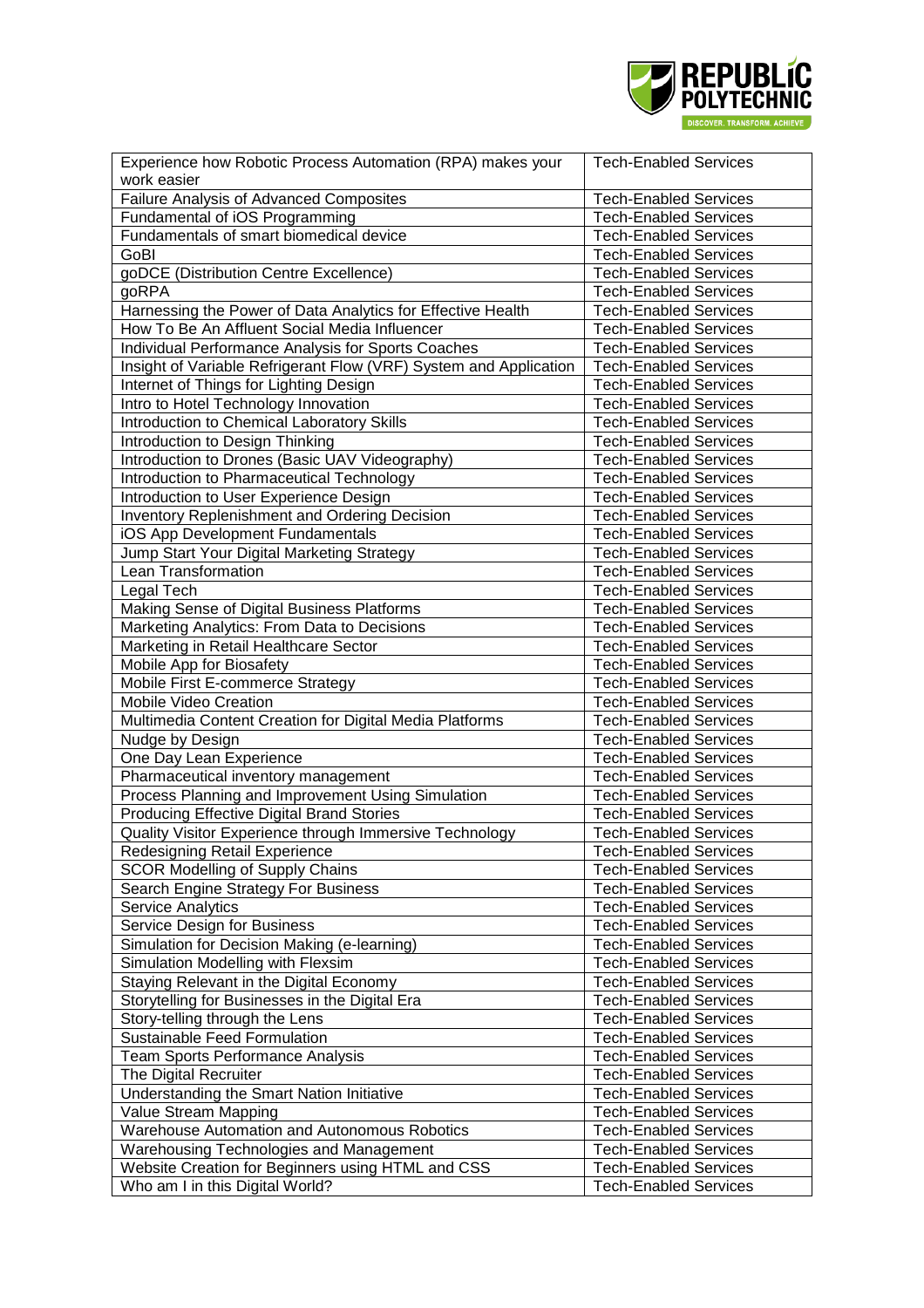

| Experience how Robotic Process Automation (RPA) makes your                           | <b>Tech-Enabled Services</b>                                 |
|--------------------------------------------------------------------------------------|--------------------------------------------------------------|
| work easier                                                                          |                                                              |
| <b>Failure Analysis of Advanced Composites</b>                                       | <b>Tech-Enabled Services</b>                                 |
| Fundamental of iOS Programming                                                       | <b>Tech-Enabled Services</b>                                 |
| Fundamentals of smart biomedical device                                              | <b>Tech-Enabled Services</b>                                 |
| GoBI                                                                                 | <b>Tech-Enabled Services</b>                                 |
| goDCE (Distribution Centre Excellence)                                               | <b>Tech-Enabled Services</b>                                 |
| goRPA                                                                                | <b>Tech-Enabled Services</b>                                 |
| Harnessing the Power of Data Analytics for Effective Health                          | <b>Tech-Enabled Services</b>                                 |
| How To Be An Affluent Social Media Influencer                                        | <b>Tech-Enabled Services</b>                                 |
| Individual Performance Analysis for Sports Coaches                                   | <b>Tech-Enabled Services</b>                                 |
| Insight of Variable Refrigerant Flow (VRF) System and Application                    | <b>Tech-Enabled Services</b>                                 |
| Internet of Things for Lighting Design                                               | <b>Tech-Enabled Services</b>                                 |
| Intro to Hotel Technology Innovation                                                 | <b>Tech-Enabled Services</b>                                 |
| Introduction to Chemical Laboratory Skills                                           | <b>Tech-Enabled Services</b>                                 |
| Introduction to Design Thinking                                                      | <b>Tech-Enabled Services</b>                                 |
| Introduction to Drones (Basic UAV Videography)                                       | <b>Tech-Enabled Services</b>                                 |
| Introduction to Pharmaceutical Technology                                            | <b>Tech-Enabled Services</b>                                 |
| Introduction to User Experience Design                                               | <b>Tech-Enabled Services</b>                                 |
| <b>Inventory Replenishment and Ordering Decision</b>                                 | <b>Tech-Enabled Services</b>                                 |
| iOS App Development Fundamentals                                                     | <b>Tech-Enabled Services</b>                                 |
| Jump Start Your Digital Marketing Strategy                                           | <b>Tech-Enabled Services</b>                                 |
| Lean Transformation                                                                  | <b>Tech-Enabled Services</b>                                 |
| Legal Tech                                                                           | <b>Tech-Enabled Services</b>                                 |
| Making Sense of Digital Business Platforms                                           | <b>Tech-Enabled Services</b>                                 |
| Marketing Analytics: From Data to Decisions                                          | <b>Tech-Enabled Services</b>                                 |
| Marketing in Retail Healthcare Sector                                                | <b>Tech-Enabled Services</b>                                 |
| Mobile App for Biosafety                                                             | <b>Tech-Enabled Services</b>                                 |
| Mobile First E-commerce Strategy                                                     | <b>Tech-Enabled Services</b>                                 |
| Mobile Video Creation                                                                | <b>Tech-Enabled Services</b>                                 |
| Multimedia Content Creation for Digital Media Platforms                              | <b>Tech-Enabled Services</b>                                 |
| Nudge by Design                                                                      | <b>Tech-Enabled Services</b>                                 |
|                                                                                      |                                                              |
|                                                                                      |                                                              |
| One Day Lean Experience                                                              | <b>Tech-Enabled Services</b>                                 |
| Pharmaceutical inventory management                                                  | <b>Tech-Enabled Services</b>                                 |
| Process Planning and Improvement Using Simulation                                    | <b>Tech-Enabled Services</b>                                 |
| <b>Producing Effective Digital Brand Stories</b>                                     | <b>Tech-Enabled Services</b>                                 |
| Quality Visitor Experience through Immersive Technology                              | <b>Tech-Enabled Services</b>                                 |
| Redesigning Retail Experience                                                        | <b>Tech-Enabled Services</b>                                 |
| <b>SCOR Modelling of Supply Chains</b>                                               | <b>Tech-Enabled Services</b>                                 |
| Search Engine Strategy For Business                                                  | <b>Tech-Enabled Services</b>                                 |
| <b>Service Analytics</b>                                                             | <b>Tech-Enabled Services</b>                                 |
| Service Design for Business                                                          | <b>Tech-Enabled Services</b>                                 |
| Simulation for Decision Making (e-learning)                                          | <b>Tech-Enabled Services</b>                                 |
| Simulation Modelling with Flexsim                                                    | <b>Tech-Enabled Services</b>                                 |
| Staying Relevant in the Digital Economy                                              | <b>Tech-Enabled Services</b>                                 |
| Storytelling for Businesses in the Digital Era                                       | <b>Tech-Enabled Services</b>                                 |
| Story-telling through the Lens                                                       | <b>Tech-Enabled Services</b>                                 |
| <b>Sustainable Feed Formulation</b>                                                  | <b>Tech-Enabled Services</b>                                 |
| <b>Team Sports Performance Analysis</b>                                              | <b>Tech-Enabled Services</b>                                 |
| The Digital Recruiter                                                                | <b>Tech-Enabled Services</b>                                 |
| Understanding the Smart Nation Initiative                                            | <b>Tech-Enabled Services</b>                                 |
| Value Stream Mapping                                                                 | <b>Tech-Enabled Services</b>                                 |
| <b>Warehouse Automation and Autonomous Robotics</b>                                  | <b>Tech-Enabled Services</b>                                 |
| Warehousing Technologies and Management                                              | <b>Tech-Enabled Services</b>                                 |
| Website Creation for Beginners using HTML and CSS<br>Who am I in this Digital World? | <b>Tech-Enabled Services</b><br><b>Tech-Enabled Services</b> |